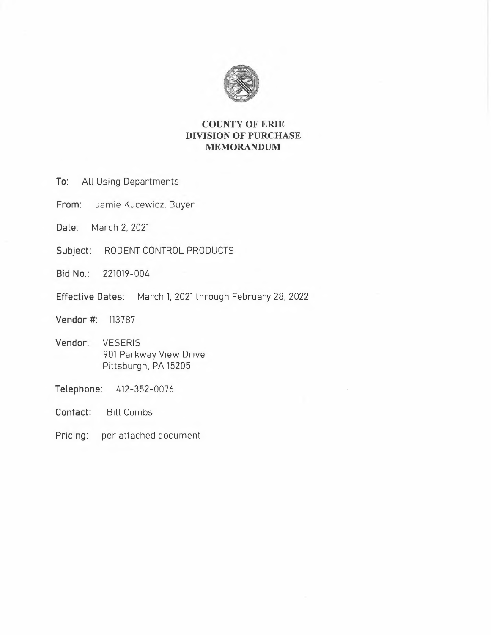

# **COUNTY OF ERIE DIVISION OF PURCHASE MEMORANDUM**

- **To:** All Using Departments
- **From:** Jamie Kucewicz, Buyer
- **Date:** March 2, 2021
- **Subject:** RODENT CONTROL PRODUCTS
- **Bid No.:** 221019-004
- **Effective Dates:** March 1. 2021 through February 28, 2022
- **Vendor** #: 113787
- **Vendor:** VESERIS 901 Parkway View Drive Pittsburgh, PA 15205
- **Telephone:** 412-352-0076
- **Contact:** Bill Combs
- **Pricing:** per attached document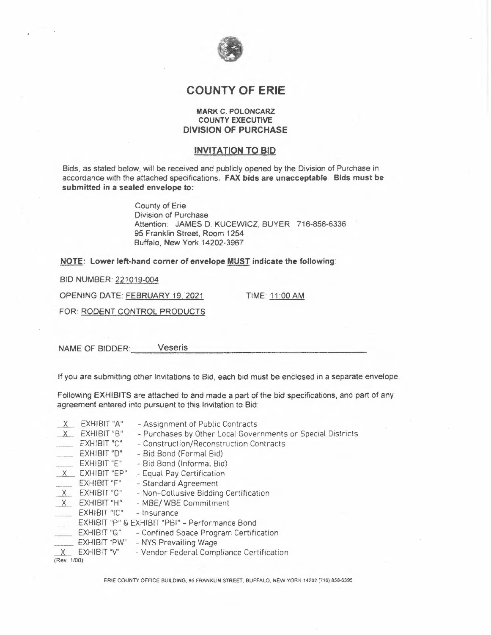

# **COUNTY OF ERIE**

## **MARK C. POLONCARZ COUNTY EXECUTIVE DIVISION OF PURCHASE**

## **INVITATION TO BID**

Bids, as stated below, will be received and publicly opened by the Division of Purchase in accordance with the attached specifications. **FAX bids are unacceptable. Bids must be submitted** in **a sealed envelope to:** 

> County of Erie Division of Purchase Attention: JAMES D. KUCEWICZ, BUYER 716-858-6336 95 Franklin Street, Room 1254 Buffalo, New York 14202-3967

**NOTE:** Lower left-hand corner of envelope **MUST** indicate the following:

BID NUMBER: 221019-004

OPENING DATE: FEBRUARY 19, 2021 TIME: 11 :00 AM

FOR: RODENT CONTROL PRODUCTS

NAME OF BIDDER: Veseris

If you are submitting other Invitations to Bid, each bid must be enclosed in a separate envelope.

Following EXHIBITS are attached to and made a part of the bid specifications, and part of any agreement entered into pursuant to this Invitation to Bid:

|             | EXHIBIT "A"         | - Assignment of Public Contracts                            |  |  |  |  |
|-------------|---------------------|-------------------------------------------------------------|--|--|--|--|
| $\times$    | EXHIBIT "B"         | - Purchases by Other Local Governments or Special Districts |  |  |  |  |
|             | EXHIBIT "C"         | - Construction/Reconstruction Contracts                     |  |  |  |  |
|             | EXHIBIT "D"         | - Bid Bond (Formal Bid)                                     |  |  |  |  |
|             | EXHIBIT "E"         | - Bid Bond (Informal Bid)                                   |  |  |  |  |
| X           | EXHIBIT "EP"        | - Equal Pay Certification                                   |  |  |  |  |
|             | EXHIBIT "F"         | - Standard Agreement                                        |  |  |  |  |
|             | X EXHIBIT "G"       | - Non-Collusive Bidding Certification                       |  |  |  |  |
| X           | EXHIBIT "H"         | - MBE/ WBE Commitment                                       |  |  |  |  |
|             | EXHIBIT "IC"        | - Insurance                                                 |  |  |  |  |
|             |                     | EXHIBIT "P" & EXHIBIT "PBI" - Performance Bond              |  |  |  |  |
|             | EXHIBIT "Q"         | - Confined Space Program Certification                      |  |  |  |  |
|             | <b>EXHIBIT "PW"</b> | - NYS Prevailing Wage                                       |  |  |  |  |
|             | EXHIBIT "V"         | - Vendor Federal Compliance Certification                   |  |  |  |  |
| (Rev. 1/00) |                     |                                                             |  |  |  |  |

ERIE COUNTY OFFICE BUILDING, 95 FRANKLIN STREET, BUFFALO, NEW YORK 14202 (716) 858-6395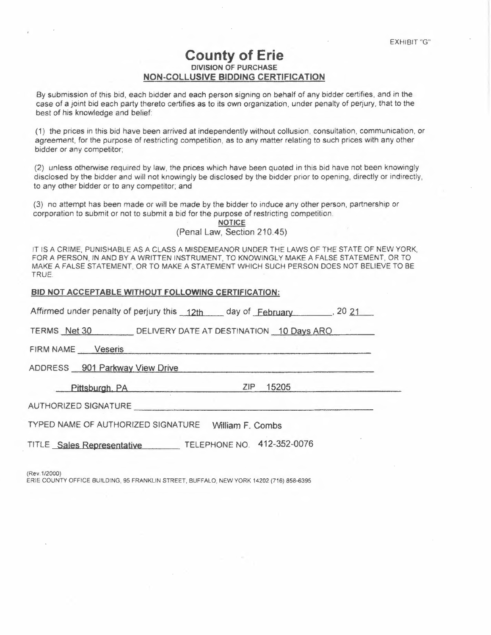# **County of Erie DIVISION OF PURCHASE NON-COLLUSIVE BIDDING CERTIFICATION**

By submission of this bid, each bidder and each person signing on behalf of any bidder certifies, and in the case of a joint bid each party thereto certifies as to its own organization, under penalty of perjury, that to the best of his knowledge and belief:

(1) the prices in this bid have been arrived at independently without collusion, consultation, communication, or agreement, for the purpose of restricting competition, **as** to any matter relating to such prices with any other bidder or any competitor;

(2) unless otherwise required by law, the prices which have been quoted in this bid have not been knowingly disclosed by the bidder and will not knowingly be disclosed by the bidder prior to opening, directly or indirectly, to any other bidder or to any competitor; and

(3) no attempt has been made or will be made by the bidder to induce any other person, partnership or corporation to submit or not to submit a bid for the purpose of restricting competition.

> **NOTICE**  (Penal Law, Section 210.45)

IT IS A CRIME, PUNISHABLE AS A CLASS A MISDEMEANOR UNDER THE LAWS OF THE STATE OF NEW YORK, FOR A PERSON, IN AND BY A WRITTEN INSTRUMENT, TO KNOWINGLY MAKE A FALSE STATEMENT, OR TO MAKE A FALSE STATEMENT, OR TO MAKE A STATEMENT WHICH SUCH PERSON DOES NOT BELIEVE TO BE TRUE.

## **BIO NOT ACCEPTABLE WITHOUT FOLLOWING CERTIFICATION:**

| Affirmed under penalty of perjury this 12th day of February 120 21 |  |  |  |  |  |  |
|--------------------------------------------------------------------|--|--|--|--|--|--|
| TERMS Net 30 DELIVERY DATE AT DESTINATION 10 Days ARO              |  |  |  |  |  |  |
| FIRM NAME Veseris                                                  |  |  |  |  |  |  |
| ADDRESS 901 Parkway View Drive                                     |  |  |  |  |  |  |
| ZIP 15205<br>Pittsburgh, PA Particular and Pittsburgh, PA          |  |  |  |  |  |  |
| AUTHORIZED SIGNATURE                                               |  |  |  |  |  |  |
| TYPED NAME OF AUTHORIZED SIGNATURE William F. Combs                |  |  |  |  |  |  |
| TITLE Sales Representative TELEPHONE NO. 412-352-0076              |  |  |  |  |  |  |
|                                                                    |  |  |  |  |  |  |

(Rev.1/2000)

ERIE COUNTY OFFICE BUILDING, 95 FRANKLIN STREET, BUFFALO, NEW YORK 14202 (716) 858-6395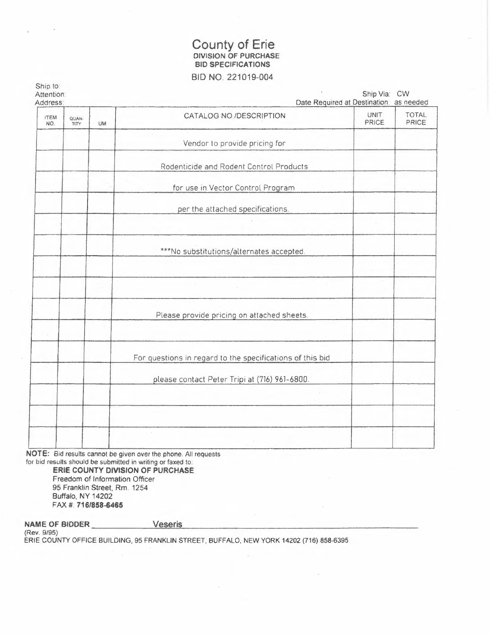# County of Erie<br>DIVISION OF PURCHASE **BID SPECIFICATIONS** BID NO. 221019-004

| Ship to:<br>Attention:<br>Address: |               |    | Date Required at Destination: as needed                   | Ship Via: CW         |                       |
|------------------------------------|---------------|----|-----------------------------------------------------------|----------------------|-----------------------|
| <b>ITEM</b><br>NO.                 | QUAN-<br>TITY | UM | CATALOG NO./DESCRIPTION                                   | <b>UNIT</b><br>PRICE | <b>TOTAL</b><br>PRICE |
|                                    |               |    | Vendor to provide pricing for                             |                      |                       |
|                                    |               |    | Rodenticide and Rodent Control Products                   |                      |                       |
|                                    |               |    | for use in Vector Control Program                         |                      |                       |
|                                    |               |    | per the attached specifications.                          |                      |                       |
|                                    |               |    |                                                           |                      |                       |
|                                    |               |    | ***No substitutions/alternates accepted.                  |                      |                       |
|                                    |               |    |                                                           |                      |                       |
|                                    |               |    |                                                           |                      |                       |
|                                    |               |    | Please provide pricing on attached sheets.                |                      |                       |
|                                    |               |    |                                                           |                      |                       |
|                                    |               |    | For questions in regard to the specifications of this bid |                      |                       |
|                                    |               |    | please contact Peter Tripi at (716) 961-6800.             |                      |                       |
|                                    |               |    |                                                           |                      |                       |
|                                    |               |    |                                                           |                      |                       |
|                                    |               |    |                                                           |                      |                       |

NOTE: Bid results cannot be given over the phone. All requests for bid results should be submitted in writing or faxed to:

ERIE COUNTY DIVISION OF PURCHASE Freedom of Information Officer 95 Franklin Street, Rm. 1254 Buffalo, NY 14202 FAX #: 716/858-6465

NAME OF BIDDER Veseris (Rev. 9/95) ERIE COUNTY OFFICE BUILDING, 95 FRANKLIN STREET, BUFFALO, NEW YORK 14202 (716) 858-6395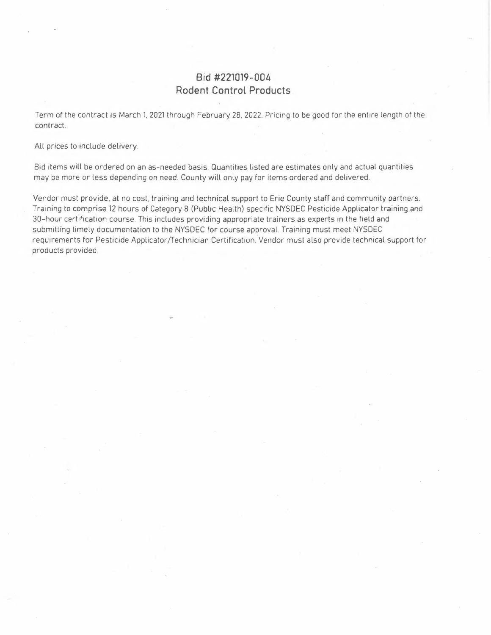# **Bid #221019-004 Rodent Control Products**

Term of the contract is March 1, 2021 through February 28. 2022. Pricing to be good for the entire length of the contract.

All prices to include delivery.

Bid items will be ordered on an as-needed basis. Quantities listed are estimates only and actual quantities may be more or less depending on need. County will only pay for items ordered and delivered.

Vendor must provide. at no cost, training and technical support to Erie County staff and community partners. Training to comprise 12 hours of Category 8 (Public Health) specific NYSDEC Pesticide Applicator training and 30-hour certification course. This includes providing appropriate trainers as experts in the field and submittíng timely documentation to the NYSDEC for course approval. Training must meet NYSDEC requirements for Pesticide Applicator/Technician Certification. Vendor must also provide technical support for products provided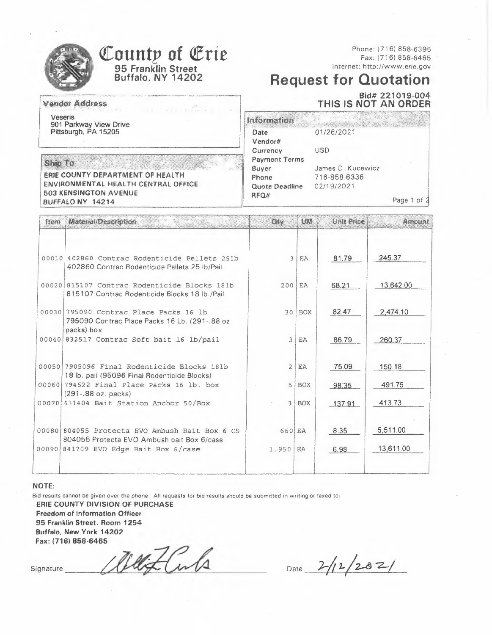|                                                                                                                                                 | County of Erie<br>95 Franklin Street<br><b>Buffalo, NY 14202</b>                                                                                                                                                                                                                                                                                                                                                                                  |                                                                  |                      |                                                                | Phone: (716) 858-6395<br>Fax: (716) 858-6465<br>Internet: http://www.erie.gov<br><b>Request for Quotation</b><br>Bid# 221019-004 |  |  |  |
|-------------------------------------------------------------------------------------------------------------------------------------------------|---------------------------------------------------------------------------------------------------------------------------------------------------------------------------------------------------------------------------------------------------------------------------------------------------------------------------------------------------------------------------------------------------------------------------------------------------|------------------------------------------------------------------|----------------------|----------------------------------------------------------------|----------------------------------------------------------------------------------------------------------------------------------|--|--|--|
|                                                                                                                                                 | Vender Address<br>$\label{eq:4} \begin{array}{lllllllllllll} \hspace{-2.5cm} \textbf{a} & \textbf{b} & \textbf{c} & \textbf{c} & \textbf{c} & \textbf{c} & \textbf{c} \\ \hline \hspace{0.05cm} \textbf{a} & \textbf{b} & \textbf{c} & \textbf{c} & \textbf{c} & \textbf{c} & \textbf{c} & \textbf{c} \\ \hline \hspace{0.05cm} \textbf{a} & \textbf{b} & \textbf{c} & \textbf{c} & \textbf{c} & \textbf{c} & \textbf{c} & \textbf{c} & \textbf{$ |                                                                  | THIS IS NOT AN ORDER |                                                                |                                                                                                                                  |  |  |  |
|                                                                                                                                                 | <b>Veseris</b><br>901 Parkway View Drive<br>Pittsburgh, PA 15205                                                                                                                                                                                                                                                                                                                                                                                  | Information<br>Date<br>Vendor#<br>Currency                       |                      | 01/26/2021<br>USD                                              |                                                                                                                                  |  |  |  |
| $S_0 \cup \{0\}$<br>ERIE COUNTY DEPARTMENT OF HEALTH<br>ENVIRONMENTAL HEALTH CENTRAL OFFICE<br><b>503 KENSINGTON AVENUE</b><br>BUFFALO NY 14214 |                                                                                                                                                                                                                                                                                                                                                                                                                                                   | <b>Payment Terms</b><br>Buyer<br>Phone<br>Quote Deadline<br>RFQ# |                      | James D. Kucewicz<br>716-858 6336<br>02/19/2021<br>Page 1 of 2 |                                                                                                                                  |  |  |  |
| <b>Item</b>                                                                                                                                     | Material/Description                                                                                                                                                                                                                                                                                                                                                                                                                              | Otv                                                              | Und                  | Unit Price                                                     | Amount                                                                                                                           |  |  |  |
|                                                                                                                                                 |                                                                                                                                                                                                                                                                                                                                                                                                                                                   |                                                                  |                      |                                                                |                                                                                                                                  |  |  |  |
|                                                                                                                                                 | 00010 402860 Contrac Rodenticide Pellets 251b<br>402860 Contrac Rodenticide Pellets 25 lb/Pail                                                                                                                                                                                                                                                                                                                                                    |                                                                  | 3 EA                 | 81.79                                                          | 245.37                                                                                                                           |  |  |  |
|                                                                                                                                                 | 00020 815107 Contrac Rodenticide Blocks 181b<br>815107 Contrac Rodenticide Blocks 18 lb./Pail                                                                                                                                                                                                                                                                                                                                                     | 200                                                              | EA                   | 68.21                                                          | 13,642.00                                                                                                                        |  |  |  |
|                                                                                                                                                 | 00030 795090 Contrac Place Packs 16 lb<br>795090 Contrac Place Packs 16 Lb. (291-.88 oz<br>packs) box                                                                                                                                                                                                                                                                                                                                             |                                                                  | $30$ BOX             | 82.47                                                          | 2,474.10                                                                                                                         |  |  |  |
|                                                                                                                                                 | 00040 832517 Contrac Soft bait 16 lb/pail                                                                                                                                                                                                                                                                                                                                                                                                         | 3                                                                | EA                   | 86.79                                                          | 260.37                                                                                                                           |  |  |  |
|                                                                                                                                                 | 00050 7905096 Final Rodenticide Blocks 181b<br>18 lb. pail (95096 Final Rodenticide Blocks)                                                                                                                                                                                                                                                                                                                                                       | $\overline{c}$                                                   | <b>EA</b>            | 75.09                                                          | 150.18                                                                                                                           |  |  |  |
|                                                                                                                                                 | 00060 794622 Final Place Packs 16 lb. box<br>(291-.88 oz. packs)                                                                                                                                                                                                                                                                                                                                                                                  | 5                                                                | <b>BOX</b>           | 98.35                                                          | 491.75                                                                                                                           |  |  |  |
|                                                                                                                                                 | 00070 631404 Bait Station Anchor 50/Box                                                                                                                                                                                                                                                                                                                                                                                                           |                                                                  | 3   BOX              | 137.91                                                         | 413.73                                                                                                                           |  |  |  |
|                                                                                                                                                 | 00080 804055 Protecta EVO Ambush Bait Box 6 CS<br>804055 Protecta EVO Ambush bait Box 6/case                                                                                                                                                                                                                                                                                                                                                      | 660 EA                                                           |                      | 8.35                                                           | 5,511.00                                                                                                                         |  |  |  |
|                                                                                                                                                 | 00090 841709 EVO Edge Bait Box 6/case                                                                                                                                                                                                                                                                                                                                                                                                             | 1,950                                                            | EA                   | 6.98                                                           | 13,611.00                                                                                                                        |  |  |  |
|                                                                                                                                                 |                                                                                                                                                                                                                                                                                                                                                                                                                                                   |                                                                  |                      |                                                                |                                                                                                                                  |  |  |  |

### NOTE:

Bid results cannot be given over the phone. All requests for bid results should be submitted in writing or faxed to: ERIE COUNTY DIVISION OF PURCHASE Freedom of Information Officer 95 Franklin Street, Room 1254 Buffalo, New York 14202 Fax: (716) 858-6465

Jettf.Cubs Signature

Date  $2/12/202/$